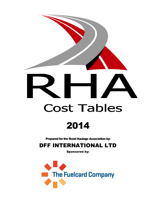

# 2014

Prepared for the Road Haulage Association by:

DFF INTERNATIONAL LTD

Sponsored by:

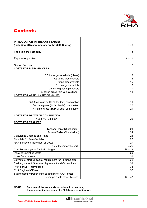

# **Contents**

| <b>INTRODUCTION TO THE COST TABLES</b><br>(Including RHA commentary on the 2013 Survey) | $3 - 6$   |
|-----------------------------------------------------------------------------------------|-----------|
| <b>The Fuelcard Company</b>                                                             | $7 - 8$   |
| <b>Explanatory Notes</b>                                                                | $9 - 11$  |
| Carbon Footprint                                                                        | 12        |
| <b>COSTS FOR RIGID VEHICLES:</b>                                                        |           |
| 3.5 tonne gross vehicle (diesel)                                                        | 13        |
| 7.5 tonne gross vehicle                                                                 | 14        |
| 13 tonne gross vehicle                                                                  | 15        |
| 18 tonne gross vehicle                                                                  | 16        |
| 26 tonne gross rigid vehicle                                                            | 17        |
| 32 tonne gross rigid vehicle (tipper)                                                   | 18        |
| <b>COSTS FOR ARTICULATED VEHICLES:</b>                                                  |           |
|                                                                                         |           |
| 32/33 tonne gross (4x2+ tandem) combination                                             | 19        |
| 38 tonne gross (4x2+ tri-axle) combination                                              | 20        |
| 44 tonne gross (6x2+ tri-axle) combination                                              | 21        |
|                                                                                         |           |
| <b>COSTS FOR DRAWBAR COMBINATION</b>                                                    |           |
| * See NOTE below                                                                        | 22        |
| <b>COSTS FOR TRAILERS</b>                                                               |           |
| Tandem Trailer (Curtainsider)                                                           | 23        |
| Tri-axle Trailer (Curtainsider)                                                         | 24        |
| <b>Calculating Charges and Rates</b>                                                    | 25        |
| <b>Template for Rate Quotation</b>                                                      | 26        |
| RHA Survey on Movement of Costs                                                         | 27        |
| <b>Cost Movement Report</b>                                                             | 27a/b     |
| Cost Percentages at Typical Mileages                                                    | $28 - 29$ |
| Index of Operating Costs                                                                | 30        |
| <b>Index Comparisons</b>                                                                | 31        |
| Estimate of start-up capital requirement for 44-tonne artic                             | 32        |
| Fuel Adjustment: Specimen Agreement and Calculations                                    | 33        |
| Profile of DFF International                                                            | 34        |
| <b>RHA Regional Offices</b>                                                             | 35        |
| Supplementary Paper "How to determine YOUR costs                                        |           |
| to compare with these Tables"                                                           | $36 - 47$ |

**NOTE:** \* **Because of the very wide variations in drawbars, these are indicative costs of a 32.5 tonne combination.**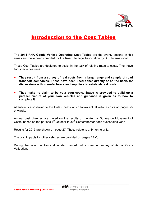

# Introduction to the Cost Tables

The **2014 RHA Goods Vehicle Operating Cost Tables** are the twenty second in this series and have been compiled for the Road Haulage Association by DFF International.

These Cost Tables are designed to assist in the task of relating rates to costs. They have two special features:

- **They result from a survey of real costs from a large range and sample of road transport companies. These have been used either directly or as the basis for discussions with manufacturers and suppliers to establish real costs.**
- **They make no claim to be your own costs. Space is provided to build up a parallel picture of your own vehicles and guidance is given as to how to complete it.**

Attention is also drawn to the Data Sheets which follow actual vehicle costs on pages 25 onwards.

Annual cost changes are based on the results of the Annual Survey on Movement of Costs, based on the periods  $1<sup>st</sup>$  October to  $30<sup>th</sup>$  September for each succeeding year.

Results for 2013 are shown on page 27. These relate to a 44 tonne artic.

The cost impacts for other vehicles are provided on pages 27a/b.

During the year the Association also carried out a member survey of Actual Costs Validation.

Goods Vehicle Operating Costs 2014 **3 Same Stranghaning the supply chain 3 3**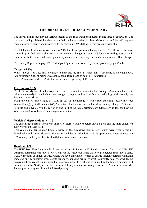

## **THE 2013 SURVEY – RHA COMMENTARY**

The survey brings together the various sectors of the road transport industry in one large overview. 50% of those responding advised that they have a fuel surcharge method in place whilst a further 25% said they use them on some of their work streams, with the remaining 25% telling us they were not used at all.

The total annual inflationary rise came to 2.3% for all categories excluding fuel (-0.8%). However, because of the drop in fuel pricing the overall effect meant a change of just +1.5% for the operating cost of a 44 tonne artic. With diesel on the rise again it pays to use a fuel surcharge method to monitor and effect change.

The Survey Report is on page 27. Cost impact figures for all vehicle types are given on pages 27a /b.

#### **Tyres: +5.2%**

Whilst the cost of tyres may continue to increase, the rate at which that is occurring is slowing down. Approximately 50% of members said they considered brand to be of key importance. The 5.2% increase added 0.2% to the annual cost of operating at 44 tonnes.

## **Fuel: minus 2.5%**

The RHA weekly bulk diesel survey is used as the barometer to monitor fuel pricing. Members submit their prices on a weekly basis which is then averaged by region and includes both a weekly high and a weekly low figure for comparison.

Using the end-of-survey figure of 110.83ppl ex vat, the average 44-tonne truck travelling 73,000 miles per annum (8mpg), typically spends £45,976 on fuel. That works out at a fuel alone mileage charge of 63 pence per mile and is typically in the region of one third of the total operating cost. Ultimately, it depends how the vehicle is used as to the total percentage spent on fuel.

## **Vehicle & depreciation: + 4.1%**

The current truck market is buoyant on sales of Euro V vehicles before stock is gone and the more expensive Euro VI variant takes hold.

This vehicle and depreciation figure is based on the purchased truck as few figures were given regarding leased vehicles in comparison and figures for vehicles varied wildly. A 4.1% uplift in costs here equates to a 0.5% change in the typical costs of a 44-tonne vehicle combination.

## **Road tax: 0%**

The HGV Road User Levy Act 2013 was passed on 28<sup>th</sup> February 2013 and as a result, from April 2014, UK transport companies will pay a levy alongside the VED rate while the foreign operator must pay a daily, weekly, monthly or annual charge. Finally we have a method by which to charge foreign operators whilst not imposing on UK operators whose costs generally should be neutral to what is currently paid. Meanwhile, the government has recently announced that payments under this scheme to be paid by the foreign operator will be undertaken by Northgate Public Services. A foreign haulier operating a truck of 12 tonnes or more who fails to pay the levy will face a £300 fixed penalty.

\_\_\_\_\_\_\_\_\_\_\_\_\_\_\_\_\_\_\_\_\_\_\_\_\_\_\_\_\_\_\_\_\_\_\_\_\_\_\_\_\_\_\_\_\_\_\_\_\_\_\_\_\_\_\_\_\_\_\_\_\_\_\_\_\_\_\_\_\_\_\_\_\_\_\_\_\_\_\_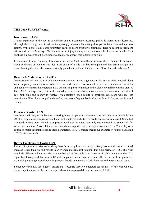

## **THE 2013 SURVEY/ contd.**

## **Insurance: + 5.4%**

Claims experience is the key as to whether or not a company insurance policy is increased or decreased, although there is a general trend - not surprisingly upwards. Escalating third party-claim costs and spurious claims, with higher claim costs, ultimately result in more expensive premiums. Despite recent government efforts and various Ministry of Justice reforms to injury claims, we are yet to see this have a noticeable effect on these claims costs although, understandably, we expect this to take some time.

In more recent news, 'flashing' has become a concern (and made the headlines) where fraudulent claims are made by drivers of vehicles who 'let' a driver out of a side turn into their path and then crash straight into them claiming that the other motorist simply pulled out on them. This is termed 'flash for cash' – beware!

## **Repairs & Maintenance: + 4.8%**

Members are split on the use of maintenance contracts, using a garage service as and when needed along with completely work in-house. Whichever method is used, it is essential to have well- maintained vehicles and equally essential that operators have systems in place to monitor and evaluate compliance in this area. A failed MOT or inspection, be it in the workshop or at the roadside, shows a lack of maintenance and it will cost both time and money to resolve. An operator's good repute is essential. Operators who are less compliant will be likely stopped and checked on a more frequent basis often resulting in further lost time and money.

#### **Overhead Costs: + 3%**

Overheads will vary vastly between differing types of operation. However, one thing that was certain is that 100% of responding companies said their joint employee and site overheads had increased overall. Some had managed to keep areas related to employee overheads to a zero, but only one managed the same trick for site-related matters. Most of these cited overheads reported were steady increases of 1 - 5% with just a couple of major variations outside these parameters. The 3% change means our example 44-tonner has a gain of 0.6% for overheads.

## **Driver Employment Costs: + 2%**

Rates of increases in driver-related pay have been very low over the past five years – in that time the total increase is less than 8% and results in an average movement throughout that time period of 1.5%. This year was little different with a recorded average being 2%. Yes, this is an increase of half a percent on the 2012 report but, having said that, nearly 42% of companies advised no increase at all – we are still in tight times. As a high percentage cost of operating a truck the 2% gain means a 0.5% increase to the truck actual costs.

Somebody obviously uses agency drivers but – because very few operators tell us this – of the ones who do, the average increase for their use was just above the employed driver increases at 2.25%.

\_\_\_\_\_\_\_\_\_\_\_\_\_\_\_\_\_\_\_\_\_\_\_\_\_\_\_\_\_\_\_\_\_\_\_\_\_\_\_\_\_\_\_\_\_\_\_\_\_\_\_\_\_\_\_\_\_\_\_\_\_\_\_\_\_\_\_\_\_\_\_\_\_\_\_\_\_\_\_\_\_\_\_\_\_

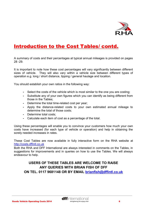

# Introduction to the Cost Tables/ contd.

A summary of costs and their percentages at typical annual mileages is provided on pages 28 -29.

It is important to note how these cost percentages will vary significantly between different sizes of vehicle. They will also vary within a vehicle size between different types of operation e.g. long / short distance, tipping / general haulage and location.

You should establish your own ratios in the following way:

- Select the costs of the vehicle which is most similar to the one you are costing;
- Substitute any of your own figures which you can identify as being different from those in the Tables;
- Determine the total time-related cost per year;
- Apply the distance-related costs to your own estimated annual mileage to determine the total of those costs;
- Determine total costs;
- Calculate each item of cost as a percentage of the total.

Using these percentages will enable you to convince your customers how much your own costs have increased (for each type of vehicle or operation) and help in obtaining the sorely needed increases in rates.

These Cost Tables are now available in fully interactive form on the RHA website at [http://costs.dffintl.co.uk](http://costs.dffintl.co.uk/)

Both the RHA and DFF International are always interested in comments on the Tables, in suggestions for improvements and in queries on how to use the Tables. We will always endeavour to help.

## **USERS OF THESE TABLES ARE WELCOME TO RAISE ANY QUERIES WITH BRIAN FISH OF DFF ON TEL. 0117 9681148 OR BY EMAIL [brianfish@dffintl.co.uk](mailto:brianfish@dffintl.co.uk)**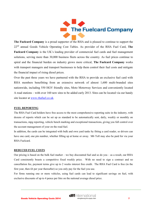

**The Fuelcard Company** is a proud supporter of the RHA and is pleased to continue to support the 22nd annual Goods Vehicle Operating Cost Tables. As provider of the RHA Fuel Card, **The Fuelcard Company** is the UK's leading provider of commercial fuel cards and fuel management solutions, serving more than 30,000 business fleets across the country. As fuel prices continue to spiral and the financial burden on industry grows more critical, **The Fuelcard Company** works with transport managers and transport businesses to help them control their fuel costs and mitigate the financial impact of rising diesel prices.

Over the past three years we have partnered with the RHA to provide an exclusive fuel card with RHA members benefitting from an extensive network of almost 1,600 multi-branded sites nationwide, including 550 HGV friendly sites, Moto Motorway Services and conveniently located A road stations – with over 160 new sites to be added early 2013. Sites can be located via our handy site locator at [www.rhafuel.co.uk.](http://www.rhafuel.co.uk/)

#### **FUEL REPORTING**

The RHA Fuel Card holders have free access to the most comprehensive reporting suite in the industry, with dozens of reports which can be set up as standard to be automatically sent, daily, weekly or monthly on transactions, mpg reporting, vehicle bench marking and exceptional transactions, giving you full control over the account management of your on the road fuel.

In addition, the cards can be integrated with bulk and own yard tanks by fitting a card reader, so drivers can have one card, one pin number, whether filling up at home or away. M6 Toll may also be paid for via your RHA Fuelcard.

#### **REDUCED FUEL COSTS**

Our pricing is based on the bulk fuel market – we buy discounted fuel and so do you – as a result, our RHA Card consistently boasts a competitive fixed weekly price. With no need to sign a contract and no cancellation fee, payment terms give up to 2 weeks interest free credit. The RHA Fuel Card is free (in the first year, then £6 per year thereafter) so you only pay for the fuel you use.

For firms running one or more vehicles, using fuel cards can lead to significant savings on fuel, with exclusive discounts of up to 4 pence per litre on the national average diesel price.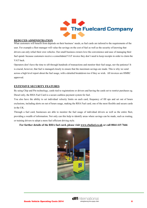

#### **REDUCED ADMINISTRATION**

What customers will benefit from depends on their business' needs, as fuel cards are tailored to the requirements of the user. For example a fleet manager will value the savings on the cost of fuel as well as the security of knowing that drivers can only refuel their own vehicles. Our small business owners love the convenience and ease of managing their fuel spend- because customers receive a consolidated VAT invoice they don't need to keep receipts in order to claim the VAT back.

Operators don't have the time to sift through hundreds of transactions and monitor their fuel usage, nor the patience! It is crucial, however, that fuel is managed closely to ensure that the maximum savings are made. This is why we send across a high level report about the fuel usage, with a detailed breakdown too if they so wish. All invoices are HMRC approved.

#### **EXTENSIVE SECURITY FEATURES**

By using Chip and Pin technology, cards tied to registrations or drivers and having the cards set to restrict purchases eg. Diesel only, the RHA Fuel Card is a secure cashless payment system for fuel.

You also have the ability to set individual velocity limits on each card, frequency of fill ups and set out of hours exclusions, including alerts on out of hours usage, making the RHA Fuel card, one of the most flexible and secure cards in the UK.

Through a fuel card, businesses are able to monitor the fuel usage of individual drivers as well as the entire fleet, providing a wealth of information. Not only can this help to identify areas where savings can be made, such as routing, or training drivers to adopt a more fuel efficient driving style.

#### **For further details of the RHA fuel card, please visit [www.rhafuel.co.uk](http://www.rhafuel.co.uk/) or call 0844 415 7666**

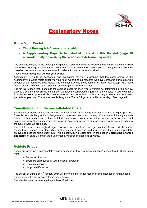

# Explanatory Notes

## Know Your Costs!

- The following brief notes are provided
- A Supplementary Paper is included at the end of this Booklet (page 36 onwards), fully describing the process of determining costs

The costs assembled in the accompanying pages result from a combination of the annual survey undertaken by the Road Haulage Association and DFF International research on vehicle costs. The figures are averages based on the numbers of vehicles for which relevant information was provided.

#### They are **averages;** they are **not your costs!**

Accordingly, it would be dangerous and misleading for you to assume that the costs shown in the accompanying tables relate exactly to your fleet. As part of our research we have compared our results with several of the published cost tables. The variations across those tables, for every cost except VED, lend weight to our contention that depending on averages is simply untenable.

It is for this reason that, alongside the average costs for each type of vehicle as determined in the survey, there is a column in which you must insert the relevant comparable figures for the vehicles in your own fleet. **In order to assist you with this, we adhere to the contention that it is wrong to use costs and rates per mile or per day. There is no such thing as a "fits-all" figure per mile or per day. See page 41.** 

## Time-Related and Distance-Related Costs

Separation of these costs is encouraged by these tables which bring costs together but no figure per mile. There is no such thing and it is dangerous to measure costs in such a way. Costs are an infinitely variable mixture of time-related and distance-related. Time-related costs are accruing even when the vehicle is not being used while the distances we may cover in any given period of time can vary enormously according to the type of work we are doing.

These tables are accordingly designed to arrive at a cost per average day (see below), which can be reduced to a cost per hour depending on the number of hours worked in a day, and then, quite separately, an average cost per mile actually run. This is dealt with in greater detail in the section **Calculating Charges and Rates** on page 25 and in the Supplementary Paper on pages 36 onwards.

## Vehicle Prices

These are given on a representative basis because of the enormous variations encountered. These arise from:

- Euro-specifications
- Specification required in your particular operation
- Discounts available
- List price differences

The advent of Euro 6 on 1<sup>st</sup> January 2014 will involve higher initial cost and some changes in running costs. These have not been incorporated in these Tables.

See also below under Average Depreciation/Residuals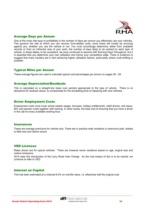

## Average Days per Annum

One of the most vital keys to profitability is the number of days per annum you effectively use your vehicles. This governs the rate at which you can recover time-related costs, since these will mostly be accruing against you, whether you use the vehicle or not. You must accordingly determine, either from available records or from an informed view of your work, the number of days likely to be worked by each type of vehicle. In these tables, to be consistent, we have continued to assume 240 'Earning Days' throughout, but it is essential that you determine your own utilisation and hence your competitive edge. There is evidence to suggest that many hauliers are in fact achieving higher utilisation factors, particularly where multi-shifting is possible.

## Typical Miles per Annum

These average figures are used to calculate typical cost percentages per annum on pages 28 - 29.

## Average Depreciation/Residuals

This is calculated on a straight-line basis over periods appropriate to the type of vehicle. There is no allowance for residual values, to compensate for the escalating price of replacing with new vehicles.

## Driver Employment Costs

Employment costs must cover actual weekly wages, bonuses, holiday entitlements, relief drivers, sick leave, NIC and pension costs together with training. In other words, the total cost of ensuring that you have a driver in the cab for every available working hour.

#### **Insurances**

These are average premiums for vehicle only. There are in practice wide variations in premiums paid, related to fleet size and claims record.

## VED Licences

Rates shown are for typical vehicles. There are however some variations based on age, engine size and carbon emissions.

2014 sees the introduction of the Lorry Road User Charge. As the cost impact of this is to be neutral, we continue to refer to VED.

## Interest on Capital

This has been estimated at a notional 6.0% on mid-life value, i.e. effectively half the original cost.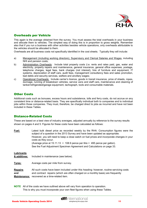

## Overheads per Vehicle

This again is the average obtained from the survey. You must assess the total overheads in your business and allocate them to vehicles. The simplest way of doing this is in proportion to gross weights. Remember also that if you run a business with other activities besides vehicle operations, only overheads attributable to the vehicles should be allocated to them.

Overheads are all business costs not specifically identified in the cost sheets. Typically they will include:

- a) Management (including working directors), Supervisory and Clerical Salaries and Wages, including NHI and pension costs;
- b) Administration Overheads: Include total property costs (i.e. rents and rates paid, gas, water and electricity, property repairs and maintenance, general insurance, general office expenses, postage, telephone charges, legal fees, bank charges (not interest)*,* hire of furniture and equipment, IT systems, depreciation of staff cars, audit fees, management consultancy fees and sales promotion, bad debts and security services, welfare and ancillary wages;
- c) Operational Overheads: Include carrier's licence, goods in transit insurance, price of sheets, ropes, dunnage, running of breakdown vehicles, service vans and staff cars, maintenance and cleaning of tanker/refrigerated/garage equipment, tachograph, tools and consumable materials.

## Other Costs

Additional costs such as bonuses, excess hours and subsistence, tolls and ferry costs, do not accrue on any consistent time or distance-related basis. They are specifically individual both to companies and to individual jobs within those companies. They must, therefore, be charged direct to jobs as incurred and have not been included in these Tables.

## Distance-Related Costs

These are based on a best view of industry averages, adjusted annually by reference to the survey results shown on pages 4 and 5. Figures for these costs have been calculated as follows:

**Fuel:** Latest bulk diesel price as recorded weekly by the RHA. Consumption figures were the subject of a question in the 2013 Survey and have been updated as appropriate. However, you will need to keep a close watch on fuel prices and incorporate changes in your costs as they occur. (Average price at  $15.11.13 = 108.9$  pence per litre = 495 pence per gallon). See the Fuel Adjustment Specimen Agreement and Calculations on page 33*.* 

#### **Lubricants**

**& additives:** Included in maintenance (see below).

**Tyres:** Average costs per mile from survey.

**Repairs** All such costs have been included under this heading: however, routine servicing costs **and** and contract repairs (which are often charged on a monthly basis) are frequently **Maintenance:** recovered as a time-related item.

**NOTE** All of the costs we have outlined above will vary from operation to operation. This is why you must incorporate your own fleet figures when using these Tables.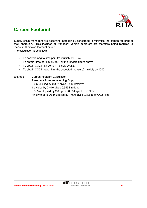

# **Carbon Footprint**

Supply chain managers are becoming increasingly concerned to minimise the carbon footprint of their operation. This includes all transport: vehicle operators are therefore being required to measure their own footprint profile.

The calculation is as follows:

- To convert mpg to kms per litre multiply by 0.352
- To obtain litres per km divide 1 by the km/litre figure above
- To obtain CO2 in kg per km multiply by 2.63
- To obtain CO2 in g per km (the accepted measure) multiply by 1000

Example: Carbon Footprint Calculation Assume a 44-tonne returning 8mpg: 8.0 multiplied by 0.352 gives 2.816 km/litre; 1 divided by 2.816 gives 0.355 litre/km; 0.355 multiplied by 2.63 gives 0.934 kg of CO2 / km; Finally that figure multiplied by 1,000 gives 933.65g of CO2 / km.

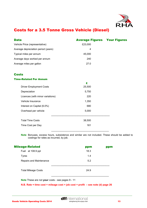

# Costs for a 3.5 Tonne Gross Vehicle (Diesel)

| <b>Data</b>                         | <b>Average Figures Your Figures</b> |  |
|-------------------------------------|-------------------------------------|--|
| Vehicle Price (representative)      | £23,000                             |  |
| Average depreciation period (years) | 4                                   |  |
| Typical miles per annum             | 45.000                              |  |
| Average days worked per annum       | 240                                 |  |
| Average miles per gallon            | 27.0                                |  |

## **Costs**

#### Time-Related Per Annum

|                                  | £      |  |
|----------------------------------|--------|--|
| <b>Driver Employment Costs</b>   | 25,500 |  |
| Depreciation                     | 5,750  |  |
| Licences (with minor variations) | 220    |  |
| Vehicle Insurance                | 1,350  |  |
| Interest on Capital (6.0%)       | 680    |  |
| Overhead per vehicle             | 5,000  |  |
|                                  |        |  |
| <b>Total Time Costs</b>          | 38,500 |  |
| Time Cost per Day                | 161    |  |
|                                  |        |  |

**Note** Bonuses, excess hours, subsistence and similar are not included. These should be added to costings for rates as incurred, by job.

| <b>Mileage-Related</b>     | ppm  | ppm |
|----------------------------|------|-----|
| Fuel at 108.9 ppl          | 18.3 |     |
| <b>Tyres</b>               | 1.4  |     |
| Repairs and Maintenance    | 5.2  |     |
| <b>Total Mileage Costs</b> | 24.9 |     |

 $\frac{1}{2}$  ,  $\frac{1}{2}$  ,  $\frac{1}{2}$  ,  $\frac{1}{2}$  ,  $\frac{1}{2}$  ,  $\frac{1}{2}$  ,  $\frac{1}{2}$  ,  $\frac{1}{2}$  ,  $\frac{1}{2}$  ,  $\frac{1}{2}$  ,  $\frac{1}{2}$  ,  $\frac{1}{2}$  ,  $\frac{1}{2}$  ,  $\frac{1}{2}$  ,  $\frac{1}{2}$  ,  $\frac{1}{2}$  ,  $\frac{1}{2}$  ,  $\frac{1}{2}$  ,  $\frac{1$ 

**Note** These are not **your** costs - see pages 9 - 11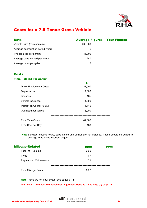

# Costs for a 7.5 Tonne Gross Vehicle

| <b>Data</b>                         | <b>Average Figures Your Figures</b> |  |
|-------------------------------------|-------------------------------------|--|
| Vehicle Price (representative)      | £38,000                             |  |
| Average depreciation period (years) | 5                                   |  |
| Typical miles per annum             | 45,000                              |  |
| Average days worked per annum       | 240                                 |  |
| Average miles per gallon            | 16                                  |  |

## **Costs**

#### Time-Related Per Annum

|                                | £      |  |
|--------------------------------|--------|--|
| <b>Driver Employment Costs</b> | 27,500 |  |
| Depreciation                   | 7,600  |  |
| Licences                       | 165    |  |
| Vehicle Insurance              | 1,600  |  |
| Interest on Capital (6.0%)     | 1,140  |  |
| Overhead per vehicle           | 6,000  |  |
|                                |        |  |
| <b>Total Time Costs</b>        | 44,005 |  |
| Time Cost per Day              | 183    |  |
|                                |        |  |

 **Note** Bonuses, excess hours, subsistence and similar are not included. These should be added to costings for rates as incurred, by job.

| <b>Mileage-Related</b>     | ppm  | ppm |
|----------------------------|------|-----|
| Fuel at 108.9 ppl          | 30.9 |     |
| <b>Tyres</b>               | 1.7  |     |
| Repairs and Maintenance    | 7.1  |     |
| <b>Total Mileage Costs</b> | 39.7 |     |

 $\frac{1}{2}$  ,  $\frac{1}{2}$  ,  $\frac{1}{2}$  ,  $\frac{1}{2}$  ,  $\frac{1}{2}$  ,  $\frac{1}{2}$  ,  $\frac{1}{2}$  ,  $\frac{1}{2}$  ,  $\frac{1}{2}$  ,  $\frac{1}{2}$  ,  $\frac{1}{2}$  ,  $\frac{1}{2}$  ,  $\frac{1}{2}$  ,  $\frac{1}{2}$  ,  $\frac{1}{2}$  ,  $\frac{1}{2}$  ,  $\frac{1}{2}$  ,  $\frac{1}{2}$  ,  $\frac{1$ 

**Note** These are not **your** costs - see pages 9 - 11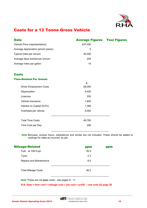

# Costs for a 13 Tonne Gross Vehicle

| <b>Data</b>                         | <b>Average Figures Your Figures</b> |  |
|-------------------------------------|-------------------------------------|--|
| Vehicle Price (representative)      | £47,000                             |  |
| Average depreciation period (years) | 5                                   |  |
| Typical miles per annum             | 45,000                              |  |
| Average days worked per annum       | 240                                 |  |
| Average miles per gallon            | 14                                  |  |

## **Costs**

#### Time-Related Per Annum

|                                | £      |  |
|--------------------------------|--------|--|
| <b>Driver Employment Costs</b> | 28,000 |  |
| Depreciation                   | 9,400  |  |
| Licences                       | 200    |  |
| Vehicle Insurance              | 1,800  |  |
| Interest on Capital (6.0%)     | 1,380  |  |
| Overhead per vehicle           | 9,000  |  |
|                                |        |  |
| <b>Total Time Costs</b>        | 49,780 |  |
| Time Cost per Day              | 206    |  |
|                                |        |  |

 **Note** Bonuses, excess hours, subsistence and similar are not included. These should be added to costings for rates as incurred, by job.

| <b>Mileage-Related</b>     | ppm  | ppm |
|----------------------------|------|-----|
| Fuel at 108.9 ppl          | 35.4 |     |
| <b>Tyres</b>               | 2.3  |     |
| Repairs and Maintenance    | 8.5  |     |
| <b>Total Mileage Costs</b> | 46.2 |     |

**Note** These are not **your** costs - see pages 9 - 11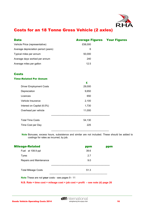

# Costs for an 18 Tonne Gross Vehicle (2 axles)

| <b>Data</b>                         | <b>Average Figures Your Figures</b> |  |
|-------------------------------------|-------------------------------------|--|
| Vehicle Price (representative)      | £58,000                             |  |
| Average depreciation period (years) | 6                                   |  |
| Typical miles per annum             | 50,000                              |  |
| Average days worked per annum       | 240                                 |  |
| Average miles per gallon            | 12.5                                |  |

## Costs

#### Time-Related Per Annum

|                                | £      |  |
|--------------------------------|--------|--|
| <b>Driver Employment Costs</b> | 29,000 |  |
| Depreciation                   | 9,650  |  |
| Licences                       | 650    |  |
| Vehicle Insurance              | 2,100  |  |
| Interest on Capital (6.0%)     | 1,730  |  |
| Overhead per vehicle           | 11,000 |  |
|                                |        |  |
| <b>Total Time Costs</b>        | 54,130 |  |
| Time Cost per Day              | 225    |  |
|                                |        |  |

 **Note** Bonuses, excess hours, subsistence and similar are not included. These should be added to costings for rates as incurred, by job.

| <b>Mileage-Related</b>     | ppm  | ppm |
|----------------------------|------|-----|
| Fuel at 108.9 ppl          | 39.6 |     |
| Tyres                      | 2.7  |     |
| Repairs and Maintenance    | 9.0  |     |
| <b>Total Mileage Costs</b> | 51.3 |     |

 $\frac{1}{2}$  ,  $\frac{1}{2}$  ,  $\frac{1}{2}$  ,  $\frac{1}{2}$  ,  $\frac{1}{2}$  ,  $\frac{1}{2}$  ,  $\frac{1}{2}$  ,  $\frac{1}{2}$  ,  $\frac{1}{2}$  ,  $\frac{1}{2}$  ,  $\frac{1}{2}$  ,  $\frac{1}{2}$  ,  $\frac{1}{2}$  ,  $\frac{1}{2}$  ,  $\frac{1}{2}$  ,  $\frac{1}{2}$  ,  $\frac{1}{2}$  ,  $\frac{1}{2}$  ,  $\frac{1$ 

**Note** These are not **your** costs - see pages 9 - 11

 **N.B. Rate = time cost + mileage cost + job cost + profit – see note (d) page 26**

**dffinternational**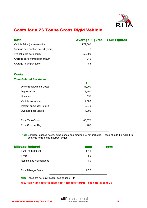

# Costs for a 26 Tonne Gross Rigid Vehicle

| Data                                | <b>Average Figures Your Figures</b> |  |
|-------------------------------------|-------------------------------------|--|
| Vehicle Price (representative)      | £79,000                             |  |
| Average depreciation period (years) | 6                                   |  |
| Typical miles per annum             | 50,000                              |  |
| Average days worked per annum       | 240                                 |  |
| Average miles per gallon            | 9.5                                 |  |

## **Costs**

#### Time-Related Per Annum

|                                | £      |  |
|--------------------------------|--------|--|
| <b>Driver Employment Costs</b> | 31,000 |  |
| Depreciation                   | 13,150 |  |
| Licences                       | 650    |  |
| Vehicle Insurance              | 2,500  |  |
| Interest on Capital (6.0%)     | 2,370  |  |
| Overhead per vehicle           | 14,000 |  |
|                                |        |  |
| <b>Total Time Costs</b>        | 63,670 |  |
| Time Cost per Day              | 265    |  |
|                                |        |  |

 **Note** Bonuses, excess hours, subsistence and similar are not included. These should be added to costings for rates as incurred, by job.

| <b>Mileage-Related</b>     | ppm  | ppm |
|----------------------------|------|-----|
| Fuel at 108.9 ppl          | 52.1 |     |
| <b>Tyres</b>               | 4.5  |     |
| Repairs and Maintenance    | 11.0 |     |
|                            |      |     |
| <b>Total Mileage Costs</b> | 67.6 |     |
|                            |      |     |

 $\frac{1}{2}$  ,  $\frac{1}{2}$  ,  $\frac{1}{2}$  ,  $\frac{1}{2}$  ,  $\frac{1}{2}$  ,  $\frac{1}{2}$  ,  $\frac{1}{2}$  ,  $\frac{1}{2}$  ,  $\frac{1}{2}$  ,  $\frac{1}{2}$  ,  $\frac{1}{2}$  ,  $\frac{1}{2}$  ,  $\frac{1}{2}$  ,  $\frac{1}{2}$  ,  $\frac{1}{2}$  ,  $\frac{1}{2}$  ,  $\frac{1}{2}$  ,  $\frac{1}{2}$  ,  $\frac{1$ 

**Note** These are not **your** costs - see pages 9 - 11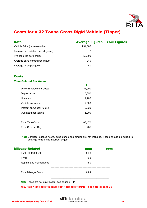

# Costs for a 32 Tonne Gross Rigid Vehicle (Tipper)

| <b>Data</b>                         | <b>Average Figures Your Figures</b> |  |
|-------------------------------------|-------------------------------------|--|
| Vehicle Price (representative)      | £94,000                             |  |
| Average depreciation period (years) | 6                                   |  |
| Typical miles per annum             | 50,000                              |  |
| Average days worked per annum       | 240                                 |  |
| Average miles per gallon            | 8.0                                 |  |

## **Costs**

#### Time-Related Per Annum

|                                | £      |  |
|--------------------------------|--------|--|
| <b>Driver Employment Costs</b> | 31,000 |  |
| Depreciation                   | 15,650 |  |
| Licences                       | 1,200  |  |
| Vehicle Insurance              | 2,800  |  |
| Interest on Capital (6.0%)     | 2,820  |  |
| Overhead per vehicle           | 15,000 |  |
|                                |        |  |
| <b>Total Time Costs</b>        | 68,470 |  |
| Time Cost per Day              | 285    |  |
|                                |        |  |

 **Note** Bonuses, excess hours, subsistence and similar are not included. These should be added to costings for rates as incurred, by job.

| <b>Mileage-Related</b>     | ppm  | ppm |
|----------------------------|------|-----|
| Fuel at 108.9 ppl          | 61.9 |     |
| <b>Tyres</b>               | 6.5  |     |
| Repairs and Maintenance    | 16.0 |     |
|                            |      |     |
| <b>Total Mileage Costs</b> | 84.4 |     |

 $\frac{1}{2}$  ,  $\frac{1}{2}$  ,  $\frac{1}{2}$  ,  $\frac{1}{2}$  ,  $\frac{1}{2}$  ,  $\frac{1}{2}$  ,  $\frac{1}{2}$  ,  $\frac{1}{2}$  ,  $\frac{1}{2}$  ,  $\frac{1}{2}$  ,  $\frac{1}{2}$  ,  $\frac{1}{2}$  ,  $\frac{1}{2}$  ,  $\frac{1}{2}$  ,  $\frac{1}{2}$  ,  $\frac{1}{2}$  ,  $\frac{1}{2}$  ,  $\frac{1}{2}$  ,  $\frac{1$ 

**Note** These are not **your** costs - see pages 9 - 11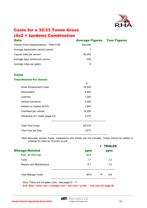

# Costs for a 32/33 Tonne Gross (4x2 + tandem) Combination

| <b>Data</b>                            | <b>Average Figures Your Figures</b> |  |
|----------------------------------------|-------------------------------------|--|
| Vehicle Price (representative) TRACTOR | £60,000                             |  |
| Average depreciation period (years)    |                                     |  |
| Typical miles per annum                | 65,000                              |  |
| Average days worked per annum          | 240                                 |  |
| Average miles per gallon               | 9                                   |  |

## **Costs**

#### Time-Related Per Annum

|                                  | £      |  |
|----------------------------------|--------|--|
| <b>Driver Employment Costs</b>   | 32,000 |  |
| Depreciation                     | 8,600  |  |
| Licences                         | 1,200  |  |
| Vehicle Insurance                | 3,000  |  |
| Interest on Capital (6.0%)       | 1,800  |  |
| Overhead per vehicle             | 16,500 |  |
| Ownership of 1 trailer (page 23) | 2,470  |  |
|                                  |        |  |
| <b>Total Time Costs</b>          | 65,570 |  |
| Time Cost per Day                | £273   |  |
|                                  |        |  |

 **Note** Bonuses, excess hours, subsistence and similar are not included. These should be added to costings for rates as incurred, by job.

|                            |      |   | + TRAILER |
|----------------------------|------|---|-----------|
| <b>Mileage-Related</b>     | ppm  |   | ppm       |
| Fuel at 108.9 ppl          | 55.0 |   |           |
| Tyres                      | 1.7  |   | 2.3       |
| Repairs and Maintenance    | 8.1  |   | 3.3       |
|                            |      |   |           |
| <b>Total Mileage Costs</b> | 64.8 | ٠ | 5.6       |

**Note** These are not **your** costs - see pages 9 - 11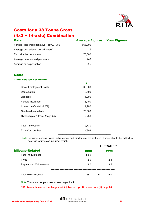

# Costs for a 38 Tonne Gross (4x2 + tri-axle) Combination

| <b>Data</b>                            | <b>Average Figures Your Figures</b> |  |
|----------------------------------------|-------------------------------------|--|
| Vehicle Price (representative) TRACTOR | £63,000                             |  |
| Average depreciation period (years)    | 6                                   |  |
| Typical miles per annum                | 73,000                              |  |
| Average days worked per annum          | 240                                 |  |
| Average miles per gallon               | 8.5                                 |  |

## **Costs**

#### Time-Related Per Annum

|                                  | £      |
|----------------------------------|--------|
| <b>Driver Employment Costs</b>   | 33,000 |
| Depreciation                     | 10,500 |
| Licences                         | 1,200  |
| Vehicle Insurance                | 3,400  |
| Interest on Capital (6.0%)       | 1,900  |
| Overhead per vehicle             | 20,000 |
| Ownership of 1 trailer (page 24) | 2,730  |
|                                  |        |
| <b>Total Time Costs</b>          | 72,730 |
| Time Cost per Day                | £303   |
|                                  |        |

 **Note** Bonuses, excess hours, subsistence and similar are not included. These should be added to costings for rates as incurred, by job.

|                            |      |   | <b>+ TRAILER</b> |
|----------------------------|------|---|------------------|
| <b>Mileage-Related</b>     | ppm  |   | ppm              |
| Fuel at 108.9 ppl          | 58.2 |   |                  |
| Tyres                      | 2.0  |   | 2.5              |
| Repairs and Maintenance    | 8.0  |   | 3.5              |
|                            |      |   |                  |
| <b>Total Mileage Costs</b> | 68.2 | ۰ | 6.0              |

**Note** These are not **your** costs - see pages 9 - 11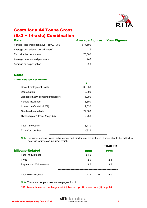

# Costs for a 44 Tonne Gross (6x2 + tri-axle) Combination

| <b>Data</b>                            | <b>Average Figures Your Figures</b> |  |
|----------------------------------------|-------------------------------------|--|
| Vehicle Price (representative) TRACTOR | £77,500                             |  |
| Average depreciation period (years)    | 6                                   |  |
| Typical miles per annum                | 73,000                              |  |
| Average days worked per annum          | 240                                 |  |
| Average miles per gallon               | 8.0                                 |  |

## **Costs**

#### Time-Related Per Annum

|                                     | £      |  |
|-------------------------------------|--------|--|
| <b>Driver Employment Costs</b>      | 33,350 |  |
| Depreciation                        | 12,900 |  |
| Licences (£650, combined transport) | 1,200  |  |
| Vehicle Insurance                   | 3,600  |  |
| Interest on Capital (6.0%)          | 2,330  |  |
| Overhead per vehicle                | 22,000 |  |
| Ownership of 1 trailer (page 24)    | 2,730  |  |
|                                     |        |  |
| <b>Total Time Costs</b>             | 78,110 |  |
| Time Cost per Day                   | £325   |  |
|                                     |        |  |

**Note** Bonuses, excess hours, subsistence and similar are not included. These should be added to costings for rates as incurred, by job.

|                            |           | + TRAILER |
|----------------------------|-----------|-----------|
| <b>Mileage-Related</b>     | ppm       | ppm       |
| Fuel at 108.9 ppl          | 61.9      |           |
| <b>Tyres</b>               | 2.0       | 2.5       |
| Repairs and Maintenance    | 8.5       | 3.5       |
|                            |           |           |
| <b>Total Mileage Costs</b> | 72.4<br>۰ | 6.0       |

**Note** These are not **your** costs – see pages 9 - 11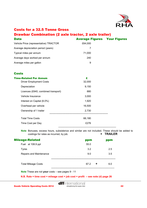

## Costs for a 32.5 Tonne Gross

## Drawbar Combination (2 axle tractor, 2 axle trailer)

| <b>Data</b>                            | <b>Average Figures Your Figures</b> |  |
|----------------------------------------|-------------------------------------|--|
| Vehicle Price (representative) TRACTOR | £64,000                             |  |
| Average depreciation period (years)    |                                     |  |
| Typical miles per annum                | 71,000                              |  |
| Average days worked per annum          | 240                                 |  |
| Average miles per gallon               | 9                                   |  |

## **Costs**

| <b>Time-Related Per Annum</b>       | £      |  |
|-------------------------------------|--------|--|
| <b>Driver Employment Costs</b>      | 32,000 |  |
| Depreciation                        | 9,150  |  |
| Licences (£640, combined transport) | 880    |  |
| Vehicle Insurance                   | 3,000  |  |
| Interest on Capital (6.0%)          | 1,920  |  |
| Overhead per vehicle                | 16,500 |  |
| Ownership of 1 trailer              | 2,730  |  |
| <b>Total Time Costs</b>             | 66,180 |  |
| Time Cost per Day                   | £276   |  |
|                                     |        |  |

**Note** Bonuses, excess hours, subsistence and similar are not included. These should be added to costings for rates as incurred, by job. **+ TRAILER** 

| <b>Mileage-Related</b>     | ppm       | ppm |
|----------------------------|-----------|-----|
| Fuel at 108.9 ppl          | 55.0      |     |
| Tyres                      | 3.2       | 2.5 |
| Repairs and Maintenance    | 9.0       | 3.5 |
| <b>Total Mileage Costs</b> | 67.2<br>÷ | 6.0 |

**Note** These are not **your** costs – see pages 9 - 11

 **N.B. Rate = time cost + mileage cost + job cost + profit – see note (d) page 26**

**dff**international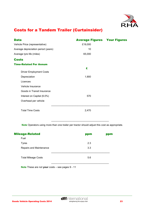

# Costs for a Tandem Trailer (Curtainsider)

| <b>Data</b>                         |         | <b>Average Figures Your Figures</b> |
|-------------------------------------|---------|-------------------------------------|
| Vehicle Price (representative)      | £19,000 |                                     |
| Average depreciation period (years) | 10      |                                     |
| Average tyre life (miles)           | 65,000  |                                     |
| <b>Costs</b>                        |         |                                     |
| <b>Time-Related Per Annum</b>       |         |                                     |
|                                     | £       |                                     |
| <b>Driver Employment Costs</b>      |         |                                     |
| Depreciation                        | 1,900   |                                     |
| Licences                            |         |                                     |
| Vehicle Insurance                   |         |                                     |
| Goods in Transit Insurance          |         |                                     |
| Interest on Capital (6.0%)          | 570     |                                     |
| Overhead per vehicle                |         |                                     |
|                                     |         |                                     |
| <b>Total Time Costs</b>             | 2,470   |                                     |

 **Note** Operators using more than one trailer per tractor should adjust this cost as appropriate.

| <b>Mileage-Related</b>     | ppm | ppm |
|----------------------------|-----|-----|
| Fuel                       |     |     |
| <b>Tyres</b>               | 2.3 |     |
| Repairs and Maintenance    | 3.3 |     |
| <b>Total Mileage Costs</b> | 5.6 |     |

 $\frac{1}{2}$  ,  $\frac{1}{2}$  ,  $\frac{1}{2}$  ,  $\frac{1}{2}$  ,  $\frac{1}{2}$  ,  $\frac{1}{2}$  ,  $\frac{1}{2}$  ,  $\frac{1}{2}$  ,  $\frac{1}{2}$  ,  $\frac{1}{2}$  ,  $\frac{1}{2}$  ,  $\frac{1}{2}$  ,  $\frac{1}{2}$  ,  $\frac{1}{2}$  ,  $\frac{1}{2}$  ,  $\frac{1}{2}$  ,  $\frac{1}{2}$  ,  $\frac{1}{2}$  ,  $\frac{1$ 

**Note** These are not **your** costs – see pages 9 - 11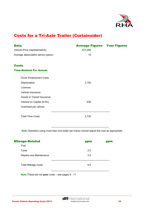

# Costs for a Tri-Axle Trailer (Curtainsider)

| <b>Data</b>                         |         | <b>Average Figures Your Figures</b> |
|-------------------------------------|---------|-------------------------------------|
| Vehicle Price (representative)      | £21,000 |                                     |
| Average depreciation period (years) | 10      |                                     |
|                                     |         |                                     |
| <b>Costs</b>                        |         |                                     |
| <b>Time-Related Per Annum</b>       |         |                                     |
| <b>Driver Employment Costs</b>      |         |                                     |
| Depreciation                        | 2,100   |                                     |
| Licences                            |         |                                     |
| Vehicle Insurance                   |         |                                     |
| Goods in Transit Insurance          |         |                                     |
| Interest on Capital (6.0%)          | 630     |                                     |
| Overhead per vehicle                |         |                                     |
|                                     |         |                                     |
| <b>Total Time Costs</b>             | 2,730   |                                     |

 **Note** Operators using more than one trailer per tractor should adjust this cost as appropriate.

| <b>Mileage-Related</b>     | ppm | ppm |
|----------------------------|-----|-----|
| Fuel                       |     |     |
| <b>Tyres</b>               | 2.5 |     |
| Repairs and Maintenance    | 3.5 |     |
| <b>Total Mileage Costs</b> | 6.0 |     |
|                            |     |     |

 $\frac{1}{2}$  ,  $\frac{1}{2}$  ,  $\frac{1}{2}$  ,  $\frac{1}{2}$  ,  $\frac{1}{2}$  ,  $\frac{1}{2}$  ,  $\frac{1}{2}$  ,  $\frac{1}{2}$  ,  $\frac{1}{2}$  ,  $\frac{1}{2}$  ,  $\frac{1}{2}$  ,  $\frac{1}{2}$  ,  $\frac{1}{2}$  ,  $\frac{1}{2}$  ,  $\frac{1}{2}$  ,  $\frac{1}{2}$  ,  $\frac{1}{2}$  ,  $\frac{1}{2}$  ,  $\frac{1$ 

**Note** These are not **your** costs – see pages 9 - 11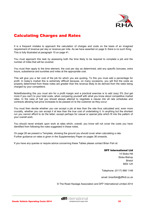

# Calculating Charges and Rates

It is a frequent mistake to approach the calculation of charges and costs on the basis of an imagined requirement of revenue per day or revenue per mile. As we have asserted on page 9, there is no such thing. This is fully illustrated at paragraph 10 on page 41.

You must approach this task by assessing both the time likely to be required to complete a job and the number of miles that will be covered.

You must then apply to the time element, the cost per day as determined; add any specific bonuses, extra hours, subsistence and sundries and miles at the appropriate cost.

This will give you a fair cost of the job for which you are quoting. To this you must add a percentage for profit. In today's market this is extremely difficult because, on many occasions, you will find the costs as properly determined from these notes are greater than the revenue likely to be derived from the rates being charged by your competitors.

Notwithstanding this you must aim for a profit margin and a practical exercise is to add (say) 5% (but get more if you can!) to your total costs, when comparing yourself with what you know about competitive market rates. In the case of fuel you should always attempt to negotiate a clause into all rate schedules and contracts allowing fuel price increases to be passed on to the customer as they occur.

You must then decide whether you can accept a job at less than the rate thus calculated and, even more crucially, whether you can accept it at less than the true cost of undertaking it. In anything but the shortest run you cannot afford to do the latter; except perhaps for casual or special jobs which fit into the pattern of your overall work.

You should never embark upon work at rates which, overall, you know will not cover the costs you have identified from following the rules suggested in these notes.

On page 26 we present a Template, showing the ground you should cover when calculating a rate. Further guidance on rates is given in the Supplementary Paper on pages 36 onwards.

If you have any queries or require advice concerning these Tables please contact Brian Fish at:

#### DFF International Ltd

14 Stoke Hill Stoke Bishop Bristol BS9 1JH

Telephone: (0117) 968 1148

email: brianfish@dffintl.co.uk

© The Road Haulage Association and DFF International Limited 2014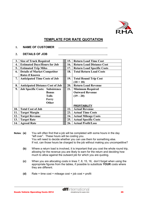

## **TEMPLATE FOR RATE QUOTATION**

#### **1. NAME OF CUSTOMER …………………………………………..**

## **2. DETAILS OF JOB …………………………………………..**

| 3.  | <b>Size of Truck Required</b>           | 15. | <b>Return Load Time Cost</b>      |
|-----|-----------------------------------------|-----|-----------------------------------|
| 4.  | <b>Estimated Days/Hours for Job</b>     | 16. | <b>Return Load Distance Cost</b>  |
| 5.  | <b>Estimated Trip Miles</b>             | 17. | <b>Return Load Specific Costs</b> |
| 6.  | <b>Details of Market Competitor</b>     | 18. | <b>Total Return Load Costs</b>    |
|     | <b>Rates if Known</b>                   |     |                                   |
| 7.  | <b>Anticipated Time Costs of Job</b>    | 19. | <b>Total Round Trip Cost</b>      |
|     |                                         |     | $(10 + 18)$                       |
| 8.  | <b>Anticipated Distance Cost of Job</b> | 20. | <b>Return Load Revenue</b>        |
| 9.  | <b>Job Specific Costs: Subsistence</b>  | 21. | <b>Minimum Required</b>           |
|     | <b>Bonus</b>                            |     | <b>Outward Revenue</b>            |
|     | <b>Tolls</b>                            |     | $(19-20)$                         |
|     | Ferry                                   |     |                                   |
|     | Other                                   |     |                                   |
|     |                                         |     | <b>PROFITABILITY</b>              |
| 10. | <b>Total Cost of Job</b>                | 22. | <b>Actual Revenue</b>             |
| 11. | <b>Target Margin</b>                    | 23. | <b>Actual Time Costs</b>          |
| 12. | <b>Target Revenue</b>                   | 24. | <b>Actual Mileage Costs</b>       |
| 13. | <b>Target Rate</b>                      | 25. | <b>Actual Specific Costs</b>      |
| 14. | <b>Agreed Rate</b>                      | 26. | <b>Actual Profit/Loss</b>         |

- **Notes**: **(a)** You will often find that a job will be completed with some hours in the day "left over". These hours will be costing you. You will need to decide whether you can use them for something else. If not, can those hours be charged to the job without making you uncompetitive?
	- **(b)** Where a return load is involved, it is important that you cost the whole round trip, allowing for the revenue you are likely to earn for the return and deciding how much to allow against the outward job for which you are quoting.
	- **(c)** When you are allocating costs in lines 7, 8, 15, 16, don't forget when using the appropriate figures from the tables, if possible to substitute **YOUR** costs where they are different.
	- **(d)** Rate = time cost + mileage cost + job cost + profit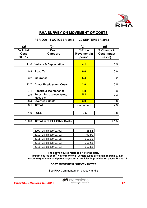

## **RHA SURVEY ON MOVEMENT OF COSTS**

| ้a)     | (b                                | ′c)                | 'd)                |
|---------|-----------------------------------|--------------------|--------------------|
| % Total | Cost                              | %Price             | % Change in        |
| Cost    | Category                          | <b>Movement in</b> | <b>Cost Impact</b> |
| 30.9.12 |                                   | period             | $(a \times c)$     |
|         |                                   |                    |                    |
| 11.0    | <b>Vehicle &amp; Depreciation</b> | 4.1                | 0.5                |
|         |                                   |                    |                    |
| 0.8     | <b>Road Tax</b>                   | 0.0                | 0.0                |
| 3.2     | <b>Insurance</b>                  | 5.4                | 0.2                |
|         |                                   |                    |                    |
| 22.7    | <b>Driver Employment Costs</b>    | 2.0                | 0.5                |
|         |                                   |                    |                    |
| 7.1     | <b>Repairs &amp; Maintenance</b>  | 4.8                | 0.3                |
| 2.9     | <b>Tyres: Replacement tyres,</b>  | 5.2                | 0.2                |
|         | tubes etc.                        |                    |                    |
| 20.4    | <b>Overhead Costs</b>             | 3.0                | 0.6                |
| 68.1    | <b>TOTAL</b>                      | <b>XXXXXXXXXX</b>  | 2.3                |
|         |                                   |                    |                    |
| 31.9    | <b>FUEL</b>                       | $-2.5$             | $-0.8$             |

## **PERIOD: 1 OCTOBER 2012 – 30 SEPTEMBER 2013**

| 2009 Fuel ppl (30/09/09) | 88.51  |
|--------------------------|--------|
| 2010 Fuel ppl (30/09/10) | 97.90  |
| 2011 Fuel ppl (30/09/11) | 112.32 |
| 2012 Fuel ppl (28/09/12) | 113.63 |
| 2013 Fuel ppl (30/09/13) | 110.83 |

**The above figures relate to a 44 tonne artic. Impact figures at 15th November for all vehicle types are given on page 27 a/b. A summary of costs and percentages for all vehicles is provided on pages 28 and 29.** 

## **COST MOVEMENT SURVEY NOTES**

See RHA Commentary on pages 4 and 5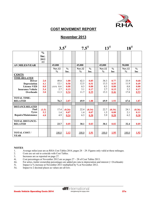

## **COST MOVEMENT REPORT**

## **November 2013**

|                                   |                               | $3.5^T$       |               | $7.5^{\mathrm{T}}$ |               | $13^{\mathrm{T}}$ |               |  | $18^T$        |               |
|-----------------------------------|-------------------------------|---------------|---------------|--------------------|---------------|-------------------|---------------|--|---------------|---------------|
|                                   | $\frac{6}{6}$<br>Inc.<br>2012 |               |               |                    |               |                   |               |  |               |               |
| <b>AV.MILES/YEAR</b>              | /13                           | 45,000        |               | 45,000             |               | 45,000            |               |  | 50,000        |               |
|                                   |                               | <b>Nov.12</b> | $\frac{0}{0}$ | Nov.12             | $\frac{0}{0}$ | <b>Nov.12</b>     | $\frac{0}{0}$ |  | <b>Nov.12</b> | $\frac{0}{0}$ |
|                                   |                               | $\frac{0}{0}$ | Inc.          | $\frac{0}{0}$      | Inc.          | $\frac{0}{0}$     | Inc           |  | $\frac{0}{0}$ | Inc           |
| <b>COSTS</b>                      |                               |               |               |                    |               |                   |               |  |               |               |
| <b>TIME-RELATED</b>               |                               |               |               |                    |               |                   |               |  |               |               |
| <b>Driver</b>                     | 2.0                           | 49.8          | 1.00          | 42.3               | 0.85          | 38.3              | 0.77          |  | 33.9          | 0.68          |
| Depreciation                      | 4.1                           | 12.1          | 0.50          | 12.5               | 0.51          | 13.3              | 0.55          |  | 11.9          | 0.49          |
| <b>Licence VED</b>                | 0.0                           | $(18.9)$ 0.4  | 0.08          | 0.3                | 0.00          | 0.3               | 0.00          |  | 0.8           | 0.00          |
| <b>Insurance Vehicle</b>          | 5.4                           | 2.7           | 0.15          | 3.1                | 0.17          | 2.7               | 0.15          |  | 3.2           | 0.17          |
| Overheads                         | 3.0                           | 11.3          | 0.34          | 11.7               | 0.35          | 15.3              | 0.46          |  | 17.8          | 0.53          |
| <b>TOTAL TIME-</b>                |                               |               |               |                    |               |                   |               |  |               |               |
| <b>RELATED</b>                    |                               | 76.3          | 2.07          | 69.9               | 1.88          | 69.9              | 1.93          |  | 67.6          | 1.87          |
|                                   |                               |               |               |                    |               |                   |               |  |               |               |
| <b>DISTANCE-RELATED</b>           |                               |               |               |                    |               |                   |               |  |               |               |
| Fuel                              | (1.5)                         | 17.4          | (0.26)        | 22.4               | (0.34)        | 22.7              | (0.34)        |  | 24.1          | (0.36)        |
| <b>Tyres</b>                      | 5.2                           | 1.4           | 0.07          | 1.4                | 0.07          | 1.5               | 0.08          |  | 2.1           | 0.11          |
| <b>Repairs/Maintenance</b>        | 4.8                           | 4.9           | 0.24          | 6.3                | 0.30          | 5.9               | 0.28          |  | 6.2           | 0.30          |
| <b>TOTAL DISTANCE-</b>            |                               |               |               |                    |               |                   |               |  |               |               |
| <b>RELATED</b>                    |                               | 23.7          | 0.05          | 30.1               | 0.03          | 30.1              | 0.02          |  | 32.4          | 0.05          |
|                                   |                               |               |               |                    |               |                   |               |  |               |               |
| <b>TOTAL COST/</b><br><b>YEAR</b> |                               | 100.0         | 2.12          | 100.0              | 1.91          | 100.0             | 1.95          |  | 100.0         | 1.92          |

# **NOTES**

- 1. Average miles/year are as RHA Cost Tables 2014, pages 28 29. Figures only valid at these mileages.
- 2. Costs are set out to coincide with Cost Tables.<br>3. Increases are as reported on page 27.
- 3. Increases are as reported on page 27.<br>4i. Cost percentages at November 2012 a
- 4i. Cost percentages at November 2012 are as pages  $27 28$  of Cost Tables 2013.<br>4ii. For artics, trailer ownership percentages are added pro rata to depreciation and
- For artics, trailer ownership percentages are added pro rata to depreciation and interest ( $=$  Overheads)
- 5i. Impact is % increase at November 2013 multiplied by % at November 2012.
- 5ii. Impact to 2 decimal places as values are all low.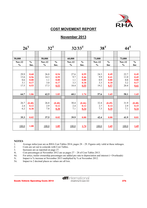

## **COST MOVEMENT REPORT**

## **November 2013**

| $26^{\mathrm{T}}$                        |                                      | $32^T$                                   |                                      |                                          | $32/33$ <sup>T</sup>                 | $38^T$                                   |                                      | $44^{\mathrm{T}}$                        |                                      |
|------------------------------------------|--------------------------------------|------------------------------------------|--------------------------------------|------------------------------------------|--------------------------------------|------------------------------------------|--------------------------------------|------------------------------------------|--------------------------------------|
| 50,000<br><b>Nov.12</b><br>$\frac{0}{0}$ | $\frac{0}{0}$<br>Inc.                | 50,000<br><b>Nov.12</b><br>$\frac{0}{0}$ | $\frac{0}{0}$<br>Inc.                | 60,000<br><b>Nov.12</b><br>$\frac{0}{0}$ | $\frac{0}{0}$<br>Inc.                | 73,000<br><b>Nov.12</b><br>$\frac{0}{0}$ | $\frac{0}{0}$<br>Inc                 | 73,000<br><b>Nov.12</b><br>$\frac{0}{0}$ | $\frac{0}{0}$<br>Inc                 |
| 29.9<br>13.6<br>0.6<br>3.1<br>17.5       | 0.60<br>0.56<br>0.00<br>0.17<br>0.53 | 26.8<br>14.3<br>1.1<br>3.0<br>17.3       | 0.54<br>0.59<br>0.00<br>0.17<br>0.53 | 27.6<br>9.7<br>1.1<br>3.3<br>18.4        | 0.55<br>0.46<br>0.00<br>0.18<br>0.55 | 24.3<br>9.9<br>0.9<br>3.3<br>19.2        | 0.49<br>0.41<br>0.00<br>0.18<br>0.57 | 22.7<br>11.0<br>0.8<br>3.2<br>20.4       | 0.45<br>0.45<br>0.00<br>0.17<br>0.61 |
| 64.7                                     | 1.86                                 | 62.5                                     | 1.83                                 | 60.1                                     | 1.74                                 | 57.6                                     | 1.65                                 | 58.1                                     | 1.65                                 |
| 26.7<br>2.4<br>6.2                       | (0.40)<br>0.12<br>0.30               | 26.8<br>2.9<br>7.8                       | (0.40)<br>0.12<br>0.30               | 30.4<br>2.4<br>7.1                       | (0.46)<br>0.12<br>0.34               | 32.4<br>2.7<br>7.3                       | (0.49)<br>0.14<br>0.35               | 31.9<br>2.9<br>7.1                       | (0.48)<br>0.15<br>0.34               |
| 35.3                                     | 0.02                                 | 37.5                                     | 0.02                                 | 39.9                                     | 0.00                                 | 42.4                                     | 0.00                                 | 41.9                                     | 0.01                                 |
| 100.0                                    | 1.88                                 | 100.0                                    | 1.85                                 | 100.0                                    | 1.74                                 | 100.0                                    | 1.65                                 | 100.0                                    | 1.69                                 |

#### **NOTES**

- 1. Average miles/year are as RHA Cost Tables 2014, pages 28 29. Figures only valid at these mileages.
- 2. Costs are set out to coincide with Cost Tables.<br>3. Increases are as reported on page 27.
- 3. Increases are as reported on page 27.<br>4i. Cost percentages at November 2012 and the set of the set of the set of the set of the set of the set of the set of the set of the set of the set of the set of the set of the set
- 4i. Cost percentages at November 2012 are as pages 27 28 of Cost Tables 2013.
- 4ii. For artics, trailer ownership percentages are added pro rata to depreciation and interest (= Overheads)<br>5i. Impact is % increase at November 2013 multiplied by % at November 2012.
- 5i. Impact is % increase at November 2013 multiplied by % at November 2012.<br>5ii. Impact to 2 decimal places as values are all low.
- Impact to 2 decimal places as values are all low.

Goods Vehicle Operating Costs 2014 **COLL**<br>
Strengthening the supply chain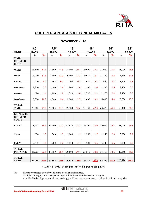

## **COST PERCENTAGES AT TYPICAL MILEAGES**

## **November 2013**

|                                                    | $3.5^T$ |               | $7.5^T$ |               | $13^T$ |               | $18^T$ |               |        | $26^T$        | $32^T$  |               |
|----------------------------------------------------|---------|---------------|---------|---------------|--------|---------------|--------|---------------|--------|---------------|---------|---------------|
| <b>MILES</b>                                       | 45,000  |               | 45,000  |               | 45,000 |               | 50,000 |               |        | 50,000        |         | 50,000        |
|                                                    | £       | $\frac{9}{6}$ | £       | $\frac{9}{6}$ | £      | $\frac{9}{6}$ | £      | $\frac{9}{6}$ | £      | $\frac{9}{6}$ | £       | $\frac{9}{6}$ |
| TIME-<br><b>RELATED</b><br><b>COSTS</b>            |         |               |         |               |        |               |        |               |        |               |         |               |
| <b>Wages</b>                                       | 25,500  | 51.3          | 27,500  | 44.5          | 28,000 | 39.7          | 29,000 | 36.3          | 31,000 | 31.8          | 31,000  | 28.1          |
| Dep'n                                              | 5,750   | 11.6          | 7,600   | 12.3          | 9,400  | 13.3          | 9,650  | 12.1          | 13,150 | 13.5          | 15,650  | 14.1          |
| Licence                                            | 220     | 0.4           | 165     | 0.3           | 200    | 0.3           | 650    | 0.8           | 650    | 0.7           | 1,200   | 1.1           |
| <b>Insurance</b>                                   | 1,350   | 2.7           | 1,600   | 2.6           | 1,800  | 2.6           | 2,100  | 2.6           | 2,500  | 2.6           | 2,800   | 2.5           |
| <b>Interest</b>                                    | 680     | 1.4           | 1,140   | 1.8           | 1,380  | 2.0           | 1,730  | 2.2           | 2,370  | 2.4           | 2,820   | 2.5           |
| Overheads                                          | 5,000   | 10.0          | 6,000   | 9.6           | 9,000  | 12.7          | 11,000 | 13.8          | 14,000 | 14.4          | 15,000  | 13.5          |
| <b>TOTAL</b><br><b>TIME</b>                        | 38,500  | 77.4          | 44,005  | 71.1          | 49,780 | 70.6          | 54,130 | 67.8          | 63,670 | 65.4          | 68,470  | 61.8          |
| <b>DISTANCE-</b><br><b>RELATED</b><br><b>COSTS</b> |         |               |         |               |        |               |        |               |        |               |         |               |
| FUEL*                                              | 8,235   | 16.6          | 13,900  | 22.5          | 15,930 | 22.5          | 19,800 | 24.9          | 26,000 | 26.7          | 31,000  | 28.1          |
| <b>Tyres</b>                                       | 630     | 1.3           | 760     | 1.2           | 1,040  | 1.5           | 1,350  | 1.7           | 2,250  | 2.3           | 3,250   | 2.9           |
| R & M                                              | 2,340   | 4.7           | 3,200   | 5.2           | 3,830  | 5.4           | 4,500  | 5.6           | 5,500  | 5.6           | 8,000   | 7.2           |
| <b>TOTAL</b><br><b>DISTANCE</b>                    | 11,205  | 22.6          | 17,860  | 28.9          | 20,800 | 29.4          | 25,650 | 32.2          | 33,750 | 34.6          | 42,250  | 38.2          |
| TOTAL/<br><b>YEAR</b>                              | 49,705  | <b>100.0</b>  | 61,865  | <b>100.0</b>  | 70,580 | 100.0         | 79,780 | 100.0         | 97,420 | 100.0         | 110,720 | 100.0         |

#### **\* Diesel at 108.9 pence per litre = 495 pence per gallon**

NB These percentages are only valid at the stated annual mileage.

At higher mileages, time costs percentages will be lower and distance costs higher.

As with all other figures, actual costs and mpgs will vary between operators and vehicles in all categories.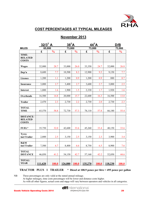

## **COST PERCENTAGES AT TYPICAL MILEAGES**

## **November 2013**

|                                                    | $32/3$ <sup>T</sup> A |               | $38^T A$    |               |             | $44^TA$       |             | D/B              |
|----------------------------------------------------|-----------------------|---------------|-------------|---------------|-------------|---------------|-------------|------------------|
| <b>MILES</b>                                       | 65,000                |               | 73,000      |               | 73,000      |               |             | 73,000           |
| TIME-                                              | £                     | $\frac{0}{0}$ | $\mathbf f$ | $\frac{1}{2}$ | $\mathbf f$ | $\frac{0}{0}$ | $\mathbf f$ | $\frac{0}{0}$    |
| <b>RELATED</b><br><b>COSTS</b>                     |                       |               |             |               |             |               |             |                  |
| <b>Wages</b>                                       | 32,000                | 28.7          | 33,000      | 26.0          | 33,350      | 24.7          | 32,000      | 26.8             |
| Dep'n                                              | 8,600                 | 7.7           | 10,500      | 8.3           | 12,900      | 9.5           | 9,150       | 7.7              |
| Licence                                            | 1,200                 | 1.1           | 1,200       | 0.9           | 1,200       | 0.9           | 880         | $\overline{0.7}$ |
| Insurance                                          | 3,000                 | 2.7           | 3,400       | 2.7           | 3,600       | 2.7           | 3,000       | 2.5              |
| <b>Interest</b>                                    | 1,800                 | 1.6           | 1,900       | 1.5           | 2,330       | 1.7           | 1,920       | 1.6              |
| Overheads                                          | 16,500                | 14.8          | 20,000      | 15.7          | 22,600      | 16.3          | 16,500      | 13.8             |
| <b>Trailer</b>                                     | 2,470                 | 2.3           | 2,730       | 2.2           | 2,730       | 2.0           | 2,730       | 2.3              |
| TOTAL.<br><b>TIME</b>                              | 65,570                | 58.8          | 72,730      | 57.3          | 78,110      | 57.8          | 66,180      | 55.4             |
| <b>DISTANCE-</b><br><b>RELATED</b><br><b>COSTS</b> |                       |               |             |               |             |               |             |                  |
| $FUEL*$                                            | 35,750                | 32.0          | 42,600      | 33.6          | 45,260      | 33.4          | 40,150      | 33.6             |
| <b>Tyres</b><br>incl Trailer                       | 2,800                 | 2.5           | 3,150       | 2.5           | 3,150       | 2.3           | 3,900       | 3.4              |
| R&M<br>incl Trailer                                | 7,500                 | 6.7           | 8,400       | 6.6           | 8,750       | 6.5           | 8,900       | 7.6              |
| <b>TOTAL</b><br><b>DISTANCE</b>                    | 46,050                | 41.2          | 54,150      | 42.7          | 57,160      | 42.2          | 52,050      | 44.6             |
| <b>TOTAL/</b><br><b>YEAR</b>                       | 111,620               | 100.0         | 126,880     | <b>100.0</b>  | 135,270     | <b>100.0</b>  | 118,230     | <b>100.0</b>     |

 **TRACTOR PLUS 1 TRAILER** \* **Diesel at 108.9 pence per litre = 495 pence per gallon**

NB These percentages are only valid at the stated annual mileage.

At higher mileages, time costs percentages will be lower and distance costs higher.

As with all other figures, actual costs and mpgs will vary between operators and vehicles in all categories.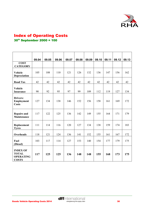

# Index of Operating Costs

# 30th September 2000 = 100

|                                                                     | 09.04 | 09.05 | 09.06 | 09.07 | 09.08 | 09.09 | 09.10 | 09.11 | 09.12 | 09.13 |
|---------------------------------------------------------------------|-------|-------|-------|-------|-------|-------|-------|-------|-------|-------|
| <b>COST</b><br><b>CATEGORY</b>                                      |       |       |       |       |       |       |       |       |       |       |
| <b>Vehicle</b><br>Depreciation                                      | 105   | 108   | 110   | 121   | 126   | 132   | 136   | 147   | 156   | 162   |
| <b>Road Tax</b>                                                     | 42    | 42    | 42    | 42    | 42    | 42    | 42    | 42    | 42    | 42    |
| <b>Vehicle</b><br><b>Insurance</b>                                  | 90    | 92    | 95    | 97    | 99    | 109   | 112   | 119   | 127   | 134   |
| Drivers:<br>Employment<br><b>Costs</b>                              | 127   | 134   | 138   | 146   | 152   | 156   | 158   | 161   | 169   | 172   |
| <b>Repairs and</b><br><b>Maintenance</b>                            | 117   | 122   | 125   | 136   | 142   | 149   | 155   | 164   | 171   | 179   |
| Replacement<br><b>Tyres</b>                                         | 111   | 114   | 116   | 120   | 127   | 134   | 138   | 159   | 174   | 183   |
| <b>Overheads</b>                                                    | 118   | 121   | 124   | 136   | 141   | 152   | 155   | 161   | 167   | 172   |
| Fuel<br>(Diesel)                                                    | 103   | 117   | 114   | 127   | 153   | 140   | 154   | 177   | 179   | 175   |
| <b>INDEX OF</b><br><b>TOTAL</b><br><b>OPERATING</b><br><b>COSTS</b> | 117   | 125   | 125   | 136   | 148   | 148   | 155   | 168   | 173   | 175   |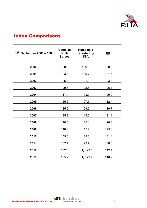

# Index Comparisons

| $30^{th}$ September 2000 = 100 | Costs as<br><b>RHA</b><br><b>Survey</b> | <b>Rates paid</b><br>reported by<br><b>FTA</b> | <b>RPI</b> |
|--------------------------------|-----------------------------------------|------------------------------------------------|------------|
| 2000                           | 100.0                                   | 100.0                                          | 100.0      |
| 2001                           | 103.4                                   | 100.7                                          | 101.6      |
| 2002                           | 105.3                                   | 101.0                                          | 103.4      |
| 2003                           | 109.8                                   | 102.8                                          | 106.1      |
| 2004                           | 117.4                                   | 103.9                                          | 109.0      |
| 2005                           | 125.5                                   | 107.5                                          | 112.4      |
| 2006                           | 125.5                                   | 109.5                                          | 116.7      |
| 2007                           | 135.9                                   | 115.6                                          | 121.1      |
| 2008                           | 148.0                                   | 115.1                                          | 126.8      |
| 2009                           | 148.0                                   | 115.2                                          | 125.8      |
| 2010                           | 155.6                                   | 119.3                                          | 131.4      |
| 2011                           | 167.7                                   | 122.7                                          | 138.8      |
| 2012                           | 172.6                                   | <b>July 123.6</b>                              | 142.4      |
| 2013                           | 175.2                                   | <b>July 123.4</b>                              | 146.9      |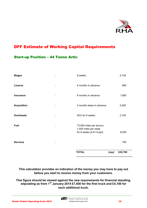

# DFF Estimate of Working Capital Requirements

## Start-up Position – 44 Tonne Artic

| <b>Wages</b>       |    | 8 weeks                                                                    |       | 5,130   |
|--------------------|----|----------------------------------------------------------------------------|-------|---------|
| <b>Licence</b>     | t, | 6 months in advance                                                        | 660   |         |
| <b>Insurance</b>   | t  | 6 months in advance                                                        | 1,800 |         |
| <b>Acquisition</b> | ÷  | 3 months lease in advance                                                  | 5,400 |         |
| <b>Overheads</b>   | t  | 50% for 8 weeks                                                            |       | 2,100   |
| Fuel               | t  | 73,000 miles per annum,<br>1,400 miles per week<br>for 8 weeks at 61.9 ppm |       | 6,930   |
| <b>Services</b>    | t, |                                                                            |       | 700     |
|                    |    | <b>TOTAL</b>                                                               | (say) | £22,700 |

**This calculation provides an indication of the money you may have to pay out before you start to receive money from your customers.** 

**This figure should be viewed against the new requirements for financial standing, stipulating as from 1st January 2014 £7,400 for the first truck and £4,100 for each additional truck.**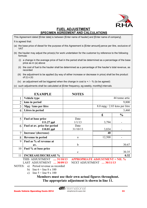

## **FUEL ADJUSTMENT SPECIMEN AGREEMENT AND CALCULATIONS**

This Agreement dated [Enter date] is between [Enter name of haulier] and [Enter name of company]. It is agreed that:

- (a) the base price of diesel for the purpose of this Agreement is [Enter amount] pence per litre, exclusive of VAT
- (b) the haulier may adjust the price(s) for work undertaken for the customer by reference to the following formula:
	- (i) a change in the average price of fuel in the period shall be determined as a percentage of the base price as in (a) above
	- (ii) the cost of fuel to the haulier shall be determined as a percentage of the haulier's total revenue, as recorded
	- (iii) the adjustment to be applied (by way of either increase or decrease in price) shall be the product of  $(i) \times (ii)$
	- (iv) an adjustment will be triggered when the change in cost is  $+$  / % (to be agreed)
- (c) such adjustments shall be calculated at [Enter frequency, eg weekly, monthly] intervals.

|                | <b>EXAMPLE</b>               | <b>NOTES</b> |                                  |                |  |  |  |
|----------------|------------------------------|--------------|----------------------------------|----------------|--|--|--|
|                | Vehicle type                 |              |                                  | 44 tonne artic |  |  |  |
| $\overline{2}$ | kms in period                |              |                                  | 9,800          |  |  |  |
| 3              | Mpg / kms per litre          |              | $8.0$ mpg $/$ 2.83 kms per litre |                |  |  |  |
| 4              | Litres in period             |              | 3,460                            |                |  |  |  |
|                |                              |              | £                                | $\frac{0}{0}$  |  |  |  |
| 5              | Fuel at base price           | Date         |                                  |                |  |  |  |
|                | $111.27$ ppl                 | 1/1/13       | 3,794                            |                |  |  |  |
| 6              | Fuel at av. price for period | Date         |                                  |                |  |  |  |
|                | 110.81 ppl                   | 31/10/13     | 3,834                            |                |  |  |  |
| 7              | Increase/ (decrease)         |              | 40                               |                |  |  |  |
| 8              | <b>Revenue in period</b>     | a            | 12,500                           |                |  |  |  |
| 9              | Fuel as % of revenue at      |              |                                  |                |  |  |  |
|                | av.                          | $\mathbf b$  |                                  | 30.67          |  |  |  |
| 10             | Fuel % at base price         |              |                                  |                |  |  |  |
|                |                              | $\mathbf{c}$ |                                  | 30.35          |  |  |  |
| 11             | <b>INCREASE/DECREASE %</b>   |              |                                  | 0.32           |  |  |  |

THIS ADJUSTMENT **.... 31/10/13 APPROPRIATE ADJUSTMENT = NIL %** 

LAST ADJUSTMENT **… 30/09/13** NEXT ADJUSTMENT **… 30/11/13**

- NOTES: a) Period revenue as recorded
	- b) line  $6 \div$  line 8 x 100
	- c) line  $5 \div$  line 9 x 100

## **Members must use their own actual figures throughout. The appropriate adjustment is shown in line 11.**

**diff**international

 $\overline{a}$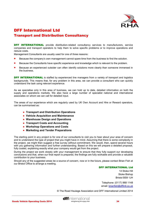

# DFF International Ltd Transport and Distribution Consultancy

**DFF INTERNATIONAL** provide distribution-related consultancy services to manufacturers, service companies and transport operators to help them to solve specific problems or to improve operations and reduce costs.

Management Consultants are usually used for one of three reasons:

- **Because the company's own management cannot spare time from the business to find the solution.**
- Because the Consultants have specific experience and knowledge which is relevant to the problem.
- **Because an experienced outsider can often identify solutions more clearly than someone immersed in** the business.

**DFF INTERNATIONAL** is staffed by experienced line managers from a variety of transport and logistics backgrounds. This means that, for any problem in this area, we can provide a consultant who can quickly understand the task using relevant experience.

As we specialise only in this area of business, we can hold up to date, detailed information on both the supply and operations markets. We also have a large number of specialist national and international associates on whom we can call for detailed input.

The areas of our experience which are regularly used by UK Own Account and Hire or Reward operators, can be summarised as:

- **Transport and Distribution Operations**
- **Vehicle Acquisition and Maintenance**
- **Warehouse Design and Operations**
- **Transport Costs and Accounting**
- **Workshop Operations and Costs**
- **Marketing and Tender Preparations**

The starting point in any project is for one of our consultants to visit you to hear about your area of concern and to understand the type of project that you might have in mind. Assuming that there is some complexity in the project, we might then suggest a free survey without commitment. We would, then, spend several hours with you gathering information and further understanding. Based on this we will prepare a detailed proposal, fully costed, explaining exactly what your company would get from the project.

During the project we work closely with your management to ensure that they fully support our developing conclusions and that, when our final report is prepared, the findings are fully workable and provide a valuable contribution to your business.

Should any of the suggested areas be a source of concern, now or in the future, please contact Brian Fish at our Bristol Office to arrange a meeting.

#### DFF INTERNATIONAL Ltd

14 Stoke Hill Stoke Bishop Bristol BS9 1JH

Telephone: (0117) 968 1148 email: [brianfish@dffintl.co.uk](mailto:brianfish@dffintl.co.uk)

© The Road Haulage Association and DFF International Limited 2014

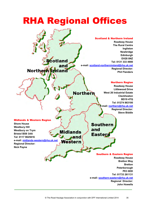# RHA Regional Offices

#### **Scotland & Northern Ireland**<br> **Scotland & Northern Ireland Roadway House The Rural Centre Ingliston Newbridge Edinburgh EH28 8NZ**  cotland **Tel: 0131 333 4900** and **e-mail: [scotland-northernireland@rha.uk.net](mailto:scotland-northernireland@rha.uk.net) Regional Director:**  Northern èland **Phil Flanders**  Northern Region **Roadway House Littlewood Drive Norther West 26 Industrial Estate Cleckheaton BD19 4TQ Tel: 01274 863100 e-mail: [northern@rha.uk.net](mailto:northern@rha.uk.net) Regional Director: Steve Biddle**  Midlands & Western Region **Shore House Southern Westbury Hill** and **Westbury on Trym Midlands Bristol BS9 3AA Eastern and Tel: 0117 9625616 e-mail: [midlands-western@rha.uk.net](mailto:midlands-western@rha.uk.net)** Western **Regional Director: Nick Payne** Southern & Eastern Region **Roadway House Bretton Way Bretton Peterborough PE3 8DD**

**Tel: 01733 261131 e-mail: [southern-eastern@rha.uk.net](mailto:southern-eastern@rha.net) Regional Director:** 

**John Howells**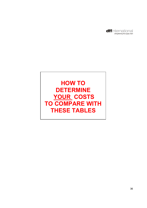

# **HOW TO DETERMINE YOUR COSTS TO COMPARE WITH THESE TABLES**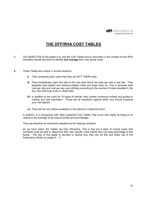

## **THE DFF/RHA COST TABLES**

- **1.** The OBJECTIVE of this paper is to visit the Cost Tables and to view them in the context of how RHA members should use them to identify **and manage** their own actual costs.
- **2.** These Tables are unique in several respects:
	- **i)** They constantly warn users that they are NOT THEIR costs.
	- **ii)** They emphatically reject the idea of the cost (and hence the rate) per mile or per day. They separate time-related and distance-related costs and keep them so. This is because both cost per mile and cost per day vary infinitely according to the number of miles travelled in the day. We shall look at this in detail later.
	- **iii)** In addition to the costs for 10 types of vehicle, they contain numerous indices and guides to costing and rate calculation. These are all yardsticks against which you should measure your own figures.
	- **iv)** They are the only tables available on the internet in interactive form.

In addition, in a comparison with other published Cost Tables, they score very highly as being on or closest to the average of all costs at similar annual mileages.

They are therefore an extremely valuable tool for helping members.

As we have noted, the Tables are fully interactive. This is fine but it does of course mean that members must be able to determine their own specific costs before they can take advantage of this facility. The rest of this paper is devoted to seeing how they can do this and make use of the Explanatory Notes on pages 9 – 11.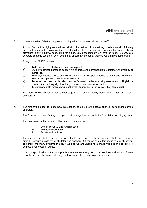

**3.** I am often asked "what is the point of costing when customers tell me the rate"?

All too often, in this highly competitive industry, the method of rate setting consists merely of finding out what is currently being paid and undercutting it! This suicidal approach has always been prevalent in our industry, accounting for a generally unacceptably low level of rates. So why are accurate costings essential, even when they apparently do not by themselves gain profitable traffic?

Every haulier MUST be able:

- a) To know the rate at which he can earn a profit.
- b) Quickly to reflect increased costs in his charges and demonstrate to customers the validity of increases.
- c) To analyse costs, update budgets and monitor current performance regularly and frequently.
- d) To forecast operating results and cash flow.
- e) To know just how much rates can be "shaved" under market pressure and still yield a contribution, and to judge how long a business can survive on that basis.
- f) To compare profit forecasts with achieved results, overall or by individual contract/job.

First, let's remind ourselves how a cost page in the Tables actually looks, for a 44-tonner: please see page 21.

**4.** The aim of this paper is to see how this cost sheet relates to the actual financial performance of the operator.

The foundation of satisfactory costing in road haulage businesses is the financial accounting system.

The accounts must be kept in sufficient detail to show us:

- i) Vehicle revenue and running costs
- ii) Business overheads
- iii) Assets and liabilities

 The question of whether we can account for the running costs by individual vehicles is extremely difficult, because it calls for much detail and analysis. Of course computers make this much easier, and there are many systems in use. If we find we are unable to manage this it is still possible to achieve good costing figures.

 In all transport business it is good practice to maintain a "register" of our vehicles and trailers. These records are useful also as a starting point for some of our costing requirements.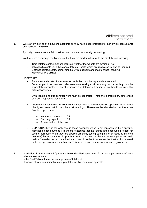

**5.** We start by looking at a haulier's accounts as they have been produced for him by his accountants and auditors: **FIGURE 1.** 

Typically, these accounts fail to tell us how the member is really performing.

We therefore re-arrange the figures so that they are similar in format to the Cost Tables, showing:

- Time-related costs, i.e. those incurred whether the wheels are turning or not;
- Job specific costs i.e. subsistence, tolls etc, costs which are recovered in jobs as incurred;
- Distance-related costs, comprising fuel, tyres, repairs and maintenance including lubricants: **FIGURE 2.**

#### NOTE THAT:

- Revenues and costs of non-transport activities must be separately accounted. For example, if the member undertakes warehousing work, as many do, that activity must be separately accounted. This often involves a detailed allocation of overheads between the different activities.
- Own vehicle and sub-contract work must be separated note the extraordinary differences between respective profitability!
- Overheads must include EVERY item of cost incurred by the transport operation which is not directly recovered within the other cost headings. These must be allocated across the active fleet in proportion to:
	- o Number of vehicles OR
	- o Carrying capacity OR
	- $\circ$  A combination of the two
- **DEPRECIATION** is the only cost in these accounts which is not represented by a specific, identifiable cash payment. It is unsafe to assume that the figures in the accounts are right for costing purposes: often they are applied arbitrarily (using straight-line or reducing balance methods) by accountants. In practical terms it should be the net amount (after residuals realised) needed to be committed each year in order to maintain the fleet at its required profile of age, size and specification. This requires careful assessment and regular review.

**6.** In addition, in the amended figures we have identified each item of cost as a percentage of ownvehicle sales revenue. In the Cost Tables, these percentages are of total cost. However, at today's minimal rates of profit the two figures are comparable.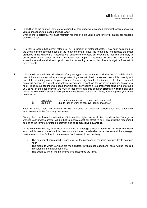

- **7.** In addition to the financial data so far outlined, at this stage we also need statistical records covering vehicle mileages, fuel usage and tyre wear. Even more importantly, we must maintain records of both vehicle and driver utilisation, for reasons explained later.
- **8.** It is vital to realise that current rates are NOT a function of historical costs. They must be related to the actual current operating costs of the fleet concerned. Thus, the next stage is to replace the costs produced in the **FIGURE 2** Accounts with budgets of the costs currently being incurred and likely to be incurred in the period to which the rates must apply. This must be done for every item of expenditure and we shall end up with another operating account, this time a budget or forecast of future events.
- **9.** It is sometimes said that "all vehicles of a given type have the same or similar costs". Whilst this is true of licences, depreciation and wage rates, together with basic movement costs, it is patently not true of the remaining costs. Beyond this, and far more significantly, the impact of time related costs will depend to a great, and seldom recognised, extent, on the achieved utilisation factor of a fleet. Thus in our costings we speak of a time cost per year; this is a gross year consisting of around 250 days. In the final analysis, we must in fact arrive at a time cost per **effective working day** and this is the key to differences in fleet performance, hence profitability. Thus, from the gross year must be deducted:
	- i) Down time for routine maintenance, repairs and annual test;
	- ii) Idle time due to lack of work or non-availability of a driver.

 Each of these must be allowed for by reference to observed performance and attainable improvements in the Company concerned.

 Clearly then, the lower the utilisation efficiency, the higher we must pitch the deduction from gross working year and the greater will be that Company's cost per effective day. This must be recognised as one of the keys to profitable operation and to **competitive advantage**.

 In the DFF/RHA Tables, as a result of surveys, an average utilisation factor of 240 days has been assumed for each type of vehicle. Not only are there considerable variations around this average, there are also other factors to be measured and taken into account e.g:

- The number of hours used in each day, for the purposes of reducing cost per day to cost per hour;
- The extent to which vehicles are multi-shifted, in which case additional costs will be incurred in sustaining the additional shifts.
- The extent to which weight and volume capacities are filled.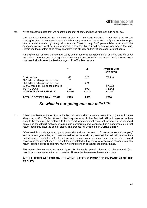

**10.** At the outset we noted that we reject the concept of cost, and hence rate, per mile or per day.

 We noted that there are two elements of cost, viz. time and distance. Total cost is an always varying function of these two; thus it is totally wrong to reduce total costs to a figure per mile, or per day, a mistake made by nearly all operators. There is only ONE period/distance at which the supposed average cost per mile is correct; below that figure it will be too low and above too high. Herein lies the problem of so many operators who still rely on this fictitious non-existent figure!

 Among the fleet of RHA Member Ltd, today one 44-footer is doing local trailer shunting and will cover 100 miles. Another one is doing a trailer exchange and will cover 350 miles. Here are the costs compared with those of the fleet average of 71,000 miles per year:

|                                                                      |       |       | Average year<br>$(240 \text{ days})$ |
|----------------------------------------------------------------------|-------|-------|--------------------------------------|
| Cost per day                                                         | 325   | 325   | 78,110                               |
| 100 miles at 78.4 pence per mile<br>350 miles at 78.4 pence per mile | 78    | 274   |                                      |
| 73,000 miles at 78.4 pence per mile                                  |       |       | 57,232                               |
| <b>TOTAL COST</b>                                                    | 403   | 599   | 135,342                              |
| <b>NOTIONAL COST PER MILE</b>                                        | £4.03 | £1.71 | £1.85                                |
| TOTAL COST PER DAY / YEAR                                            | £403  | £599  | £564                                 |

## *So what is our going rate per mile?!?!*

**11.** It has now been assumed that a haulier has established accurate costs to compare with those shown in our Cost Tables. When invited to quote for work their first task will be to assess the time likely to be required, the distance to be covered, any additional costs not included in the standard costs, and the difficult problem of return load possibilities and revenues. It is a dangerous myth that return loads only incur the cost of diesel. The process is illustrated in **FIGURES 3 and 4.** 

 Of course it is not always as simple as a round trip with a container. If for example we are "tramping" and have to organise the return load as well as the outward load, we must then add all the extra time and distance associated with the return load to our costs; we must then assess total required revenue on the normal basis. This will then be related to the known or anticipated revenue from the return load to help us decide how much we should or can obtain for the outward load.

 This means that we are using actual figures for the whole operation instead of rules of thumb (e.g. two thirds of outward rate for return loads). These rules have never been satisfactory.

#### **A FULL TEMPLATE FOR CALCULATING RATES IS PROVIDED ON PAGE 26 OF THE TABLES.**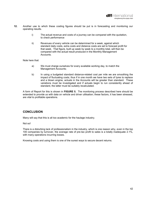

- **12.** Another use to which these costing figures should be put is in forecasting and monitoring our operating results.
	- i) The actual revenue and costs of a journey can be compared with the quotation, to check performance
	- ii) Revenues of every vehicle can be determined for a week, against which standard daily costs, extra costs and distance costs are set to forecast profit for that week. That figure, built up week by week to a monthly total, will then be compared with the actual result produced in the Monthly Management Accounts.

Note here that:

- a) We must charge ourselves for every available working day, to match the Management Accounts;
- b) In using a budgeted standard distance-related cost per mile we are smoothing the impact of fluctuating costs; thus if in one month we have two sets of tyres to replace and a blown engine, actuals in the Accounts will be greater than standard. These variations must be investigated and if actuals begin to run consistently ahead of standard, the latter must be suitably recalculated.

A form of Report for this is shown in **FIGURE 5.** The monitoring process described here should be extended to provide us with data on vehicle and driver utilisation; these factors, it has been stressed, are vital to profitable operations.

## **CONCLUSION**

Many will say that this is all too academic for the haulage industry.

Not so!

There is a disturbing lack of professionalism in the industry, which is one reason why, even in the top 100 companies by turnover, the average rate of pre-tax profit to sales is a totally inadequate 2.1%, with many operations incurring losses.

Knowing costs and using them is one of the surest ways to secure decent returns.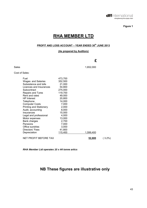

# **RHA MEMBER LTD**

## **PROFIT AND LOSS ACCOUNT – YEAR ENDED 30th JUNE 2013**

## **(As prepared by Auditors)**

## **£**

Sales 1,652,000

Cost of Sales:

| Fuel                           | 473,700 |           |           |
|--------------------------------|---------|-----------|-----------|
| Wages and Salaries             | 352,500 |           |           |
| Subsistence and tolls          | 21,000  |           |           |
| Licences and Insurances        | 54,800  |           |           |
| Subcontract                    | 275,000 |           |           |
| Repairs and Tyres              | 119,700 |           |           |
| Rent and rates                 | 49,000  |           |           |
| <b>HP</b> Interest             | 20,800  |           |           |
| Telephone                      | 14,000  |           |           |
| <b>Computer Costs</b>          | 7,000   |           |           |
| <b>Printing and Stationery</b> | 2,000   |           |           |
| Audit, accounting              | 8,000   |           |           |
| Insurances                     | 15,000  |           |           |
| Legal and professional         | 4,000   |           |           |
| Motor expenses                 | 13,000  |           |           |
| Bank charges                   | 2,700   |           |           |
| Pensions                       | 7,000   |           |           |
| Office sundries                | 3,000   |           |           |
| Directors' Fees                | 41,800  |           |           |
| Depreciation                   | 115,400 | 1,599,400 |           |
| NET PROFIT BEFORE TAX          |         | 52,600    | $(3.2\%)$ |

*RHA Member Ltd operates 10 x 44 tonne artics* 

# **NB These figures are illustrative only**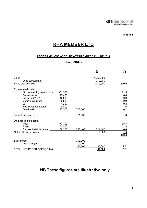

# **RHA MEMBER LTD**

## **PROFIT AND LOSS ACCOUNT – YEAR ENDED 30th JUNE 2013**

## **REARRANGED**

|                                                                                                                                                            |                                                                      |                              | £                                 | $\frac{0}{0}$                                   |
|------------------------------------------------------------------------------------------------------------------------------------------------------------|----------------------------------------------------------------------|------------------------------|-----------------------------------|-------------------------------------------------|
| Sales<br>Less subcontract<br>Sales own vehicles                                                                                                            |                                                                      |                              | 1,652,000<br>310,000<br>1,342,000 | 100.0                                           |
| Time-related costs:<br>Driver employment costs<br>Depreciation<br>Licences (VED)<br>Vehicle Insurance<br><b>GIT</b><br>Hire Purchase interest<br>Overheads | 301,500<br>115,400<br>12,000<br>38,600<br>4,200<br>20,800<br>217,500 | 710,000                      |                                   | 22.5<br>8.6<br>0.9<br>2.9<br>0.3<br>1.6<br>16.2 |
| Subsistence and tolls                                                                                                                                      |                                                                      | 21,000                       |                                   | 1.6                                             |
| Distance-related costs:<br>Fuel<br><b>Tyres</b><br>Repairs & Maintenance<br>Net profit own vehicles                                                        | 473,700<br>31,500<br>88,200                                          | 593,400                      | 1,324,400<br>17,600               | 35.3<br>2.3<br>6.6<br>1.3<br>100.0              |
| Subcontract<br>Less charges<br>TOTAL NET PROFIT BEFORE TAX                                                                                                 |                                                                      | 310,000<br>275,000<br>35,000 | 35,000<br>52,600                  | 11.3<br>3.2                                     |

# **NB These figures are illustrative only**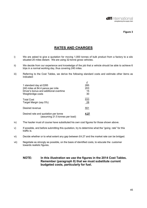

## **RATES AND CHARGES**

- i) We are asked to give a quotation for moving 1,000 tonnes of bulk product from a factory to a silo situated 20 miles distant. We are using 32-tonne gross vehicles.
- ii) We decide from our experience and knowledge of the job that a vehicle should be able to achieve 6 trips in a normal working day, thus covering 240 miles.
- iii) Referring to the Cost Tables, we derive the following standard costs and estimate other items as indicated:

|                                        | £   |
|----------------------------------------|-----|
| 1 standard day at £285                 | 285 |
| 240 miles at 84.4 pence per mile       | 203 |
| Driver's bonus and additional overtime | 15  |
| Weighbridge costs                      | 30  |
|                                        |     |
| <b>Total Cost</b>                      | 533 |
| Target Margin (say 5%)                 | 28  |
|                                        |     |
| Desired revenue                        | 551 |
| Desired rate and quotation per tonne   |     |
| (assuming 21.5 tonnes per load)        |     |
|                                        |     |

- iv) The haulier must of course have substituted his own cost figures for those shown above.
- v) If possible, and before submitting this quotation, try to determine what the "going rate" for this traffic is.
- vi) Decide whether or to what extent any gap between £4.27 and the market rate can be bridged.
- vii) Negotiate as strongly as possible, on the basis of identified costs, to educate the customer towards realistic figures.
	- **NOTE: In this illustration we use the figures in the 2014 Cost Tables. Remember (paragraph 8) that we must substitute current budgeted costs, particularly for fuel.**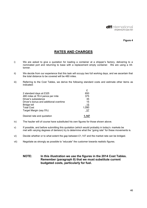

## **RATES AND CHARGES**

- i) We are asked to give a quotation for loading a container at a shipper's factory, delivering to a nominated port and returning to base with a replacement empty container. We are using a 44 tonner.
- ii) We decide from our experience that this task will occupy two full working days, and we ascertain that the total distance to be covered will be 480 miles.
- iii) Referring to the Cost Tables, we derive the following standard costs and estimate other items as indicated:

|                                        | £     |
|----------------------------------------|-------|
| 2 standard days at £325                | 650   |
| 480 miles at 78.4 pence per mile       | 375   |
| Driver's subsistence                   | 35    |
| Driver's bonus and additional overtime | 15    |
| <b>Bridge toll</b>                     | -15   |
| <b>Total Cost</b>                      | 1,090 |
| Target Margin (say 5%)                 | -57   |
| Desired rate and quotation             |       |

- iv) The haulier will of course have substituted his own figures for those shown above.
- v) If possible, and before submitting this quotation (which would probably in today's markets be met with varying degrees of derision) try to determine what the "going rate" for these movements is.
- vi) Decide whether or to what extent the gap between £1,147 and the market rate can be bridged.
- vii) Negotiate as strongly as possible to "educate" the customer towards realistic figures.
	- **NOTE: In this illustration we use the figures in the 2014 Cost Tables. Remember (paragraph 8) that we must substitute current budgeted costs, particularly for fuel.**